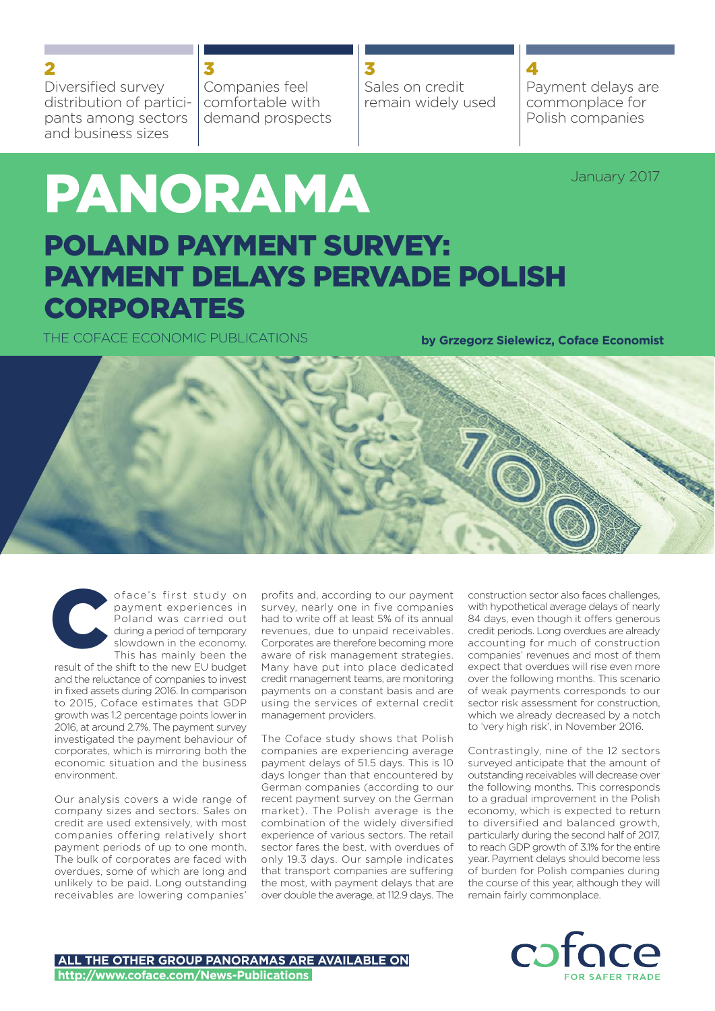Diversified survey distribution of participants among sectors and business sizes

Companies feel comfortable with demand prospects 3

Sales on credit remain widely used 3

# Payment delays are

4

commonplace for Polish companies

January 2017

# PANORAMA POLAND PAYMENT SURVEY: PAYMENT DELAYS PERVADE POLISH CORPORATES

THE COFACE ECONOMIC PUBLICATIONS

**by Grzegorz Sielewicz, Coface Economist**





oface's first study on payment experiences in Poland was carried out during a period of temporary slowdown in the economy. This has mainly been the

result of the shift to the new EU budget and the reluctance of companies to invest in fixed assets during 2016. In comparison to 2015, Coface estimates that GDP growth was 1.2 percentage points lower in 2016, at around 2.7%. The payment survey investigated the payment behaviour of corporates, which is mirroring both the economic situation and the business environment.

Our analysis covers a wide range of company sizes and sectors. Sales on credit are used extensively, with most companies offering relatively short payment periods of up to one month. The bulk of corporates are faced with overdues, some of which are long and unlikely to be paid. Long outstanding receivables are lowering companies'

profits and, according to our payment survey, nearly one in five companies had to write off at least 5% of its annual revenues, due to unpaid receivables. Corporates are therefore becoming more aware of risk management strategies. Many have put into place dedicated credit management teams, are monitoring payments on a constant basis and are using the services of external credit management providers.

The Coface study shows that Polish companies are experiencing average payment delays of 51.5 days. This is 10 days longer than that encountered by German companies (according to our recent payment survey on the German market). The Polish average is the combination of the widely diversified experience of various sectors. The retail sector fares the best, with overdues of only 19.3 days. Our sample indicates that transport companies are suffering the most, with payment delays that are over double the average, at 112.9 days. The

construction sector also faces challenges, with hypothetical average delays of nearly 84 days, even though it offers generous credit periods. Long overdues are already accounting for much of construction companies' revenues and most of them expect that overdues will rise even more over the following months. This scenario of weak payments corresponds to our sector risk assessment for construction, which we already decreased by a notch to 'very high risk', in November 2016.

Contrastingly, nine of the 12 sectors surveyed anticipate that the amount of outstanding receivables will decrease over the following months. This corresponds to a gradual improvement in the Polish economy, which is expected to return to diversified and balanced growth, particularly during the second half of 2017, to reach GDP growth of 3.1% for the entire year. Payment delays should become less of burden for Polish companies during the course of this year, although they will remain fairly commonplace.

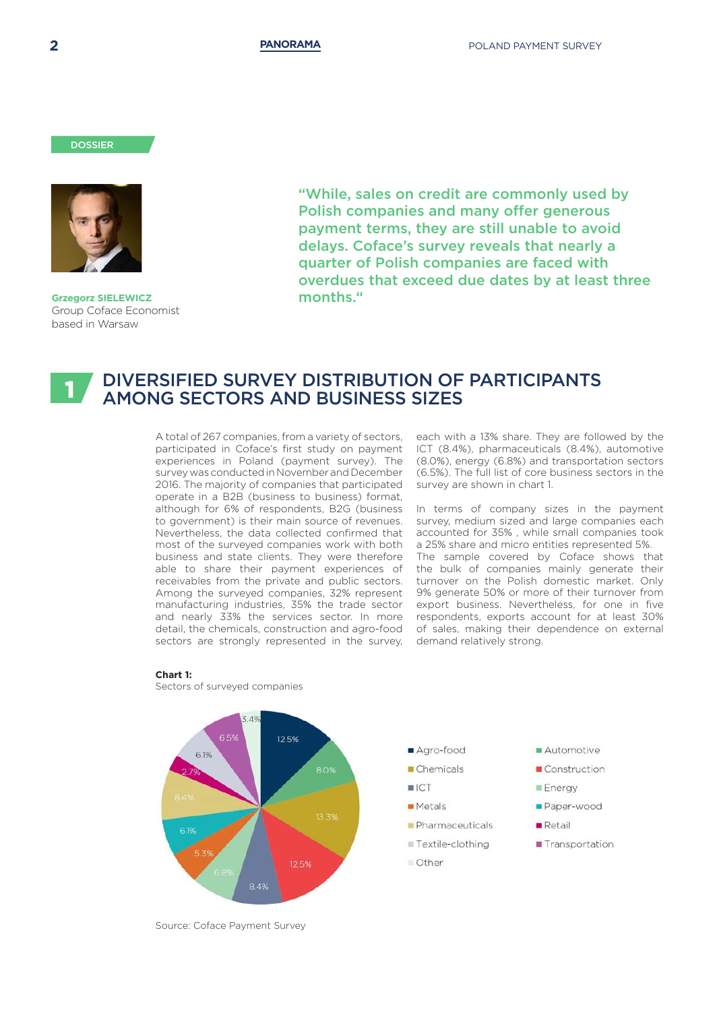#### **DOSSIER**



**Grzegorz SIELEWICZ** Group Coface Economist based in Warsaw

"While, sales on credit are commonly used by Polish companies and many offer generous payment terms, they are still unable to avoid delays. Coface's survey reveals that nearly a quarter of Polish companies are faced with overdues that exceed due dates by at least three months."

### DIVERSIFIED SURVEY DISTRIBUTION OF PARTICIPANTS AMONG SECTORS AND BUSINESS SIZES 1

A total of 267 companies, from a variety of sectors, participated in Coface's first study on payment experiences in Poland (payment survey). The survey was conducted in November and December 2016. The majority of companies that participated operate in a B2B (business to business) format, although for 6% of respondents, B2G (business to government) is their main source of revenues. Nevertheless, the data collected confirmed that most of the surveyed companies work with both business and state clients. They were therefore able to share their payment experiences of receivables from the private and public sectors. Among the surveyed companies, 32% represent manufacturing industries, 35% the trade sector and nearly 33% the services sector. In more detail, the chemicals, construction and agro-food sectors are strongly represented in the survey,

each with a 13% share. They are followed by the ICT (8.4%), pharmaceuticals (8.4%), automotive (8.0%), energy (6.8%) and transportation sectors (6.5%). The full list of core business sectors in the survey are shown in chart 1.

In terms of company sizes in the payment survey, medium sized and large companies each accounted for 35% , while small companies took a 25% share and micro entities represented 5%. The sample covered by Coface shows that the bulk of companies mainly generate their turnover on the Polish domestic market. Only 9% generate 50% or more of their turnover from export business. Nevertheless, for one in five respondents, exports account for at least 30% of sales, making their dependence on external demand relatively strong.



#### **Chart 1:**

Sectors of surveyed companies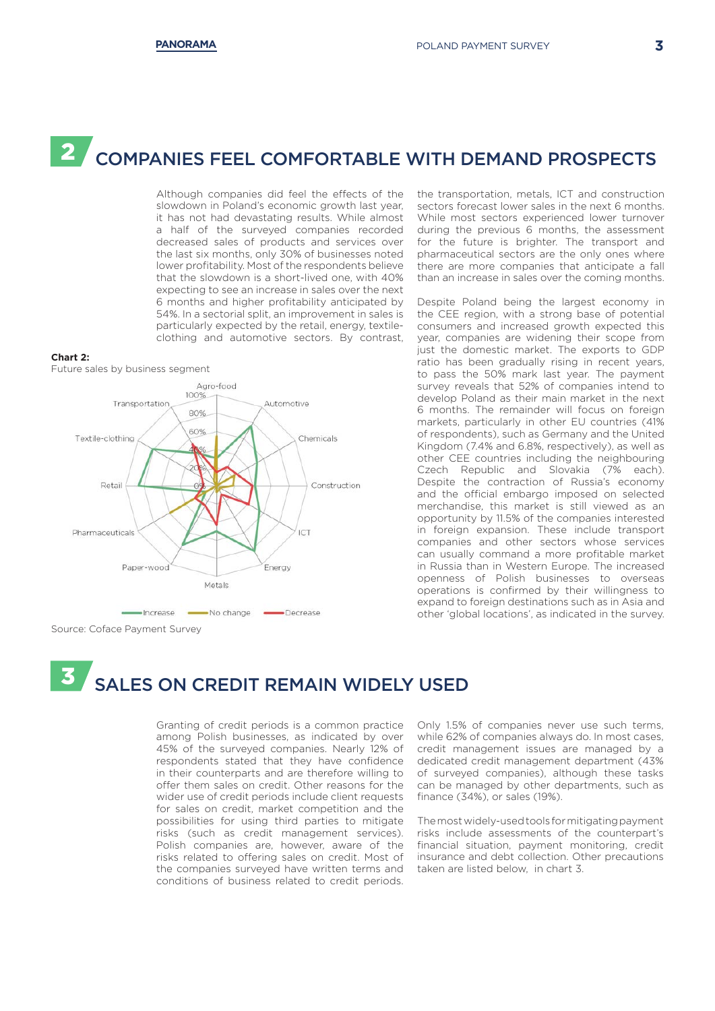## 2 COMPANIES FEEL COMFORTABLE WITH DEMAND PROSPECTS

Although companies did feel the effects of the slowdown in Poland's economic growth last year. it has not had devastating results. While almost a half of the surveyed companies recorded decreased sales of products and services over the last six months, only 30% of businesses noted lower profitability. Most of the respondents believe that the slowdown is a short-lived one, with 40% expecting to see an increase in sales over the next 6 months and higher profitability anticipated by 54%. In a sectorial split, an improvement in sales is particularly expected by the retail, energy, textileclothing and automotive sectors. By contrast,

#### **Chart 2:**

Future sales by business segment



Source: Coface Payment Survey

the transportation, metals, ICT and construction sectors forecast lower sales in the next 6 months. While most sectors experienced lower turnover during the previous 6 months, the assessment for the future is brighter. The transport and pharmaceutical sectors are the only ones where there are more companies that anticipate a fall than an increase in sales over the coming months.

Despite Poland being the largest economy in the CEE region, with a strong base of potential consumers and increased growth expected this year, companies are widening their scope from just the domestic market. The exports to GDP ratio has been gradually rising in recent years, to pass the 50% mark last year. The payment survey reveals that 52% of companies intend to develop Poland as their main market in the next 6 months. The remainder will focus on foreign markets, particularly in other EU countries (41% of respondents), such as Germany and the United Kingdom (7.4% and 6.8%, respectively), as well as other CEE countries including the neighbouring Czech Republic and Slovakia (7% each). Despite the contraction of Russia's economy and the official embargo imposed on selected merchandise, this market is still viewed as an opportunity by 11.5% of the companies interested in foreign expansion. These include transport companies and other sectors whose services can usually command a more profitable market in Russia than in Western Europe. The increased openness of Polish businesses to overseas operations is confirmed by their willingness to expand to foreign destinations such as in Asia and other 'global locations', as indicated in the survey.

## 3 SALES ON CREDIT REMAIN WIDELY USED

Granting of credit periods is a common practice among Polish businesses, as indicated by over 45% of the surveyed companies. Nearly 12% of respondents stated that they have confidence in their counterparts and are therefore willing to offer them sales on credit. Other reasons for the wider use of credit periods include client requests for sales on credit, market competition and the possibilities for using third parties to mitigate risks (such as credit management services). Polish companies are, however, aware of the risks related to offering sales on credit. Most of the companies surveyed have written terms and conditions of business related to credit periods. Only 1.5% of companies never use such terms, while 62% of companies always do. In most cases, credit management issues are managed by a dedicated credit management department (43% of surveyed companies), although these tasks can be managed by other departments, such as finance (34%), or sales (19%).

The most widely-used tools for mitigating payment risks include assessments of the counterpart's financial situation, payment monitoring, credit insurance and debt collection. Other precautions taken are listed below, in chart 3.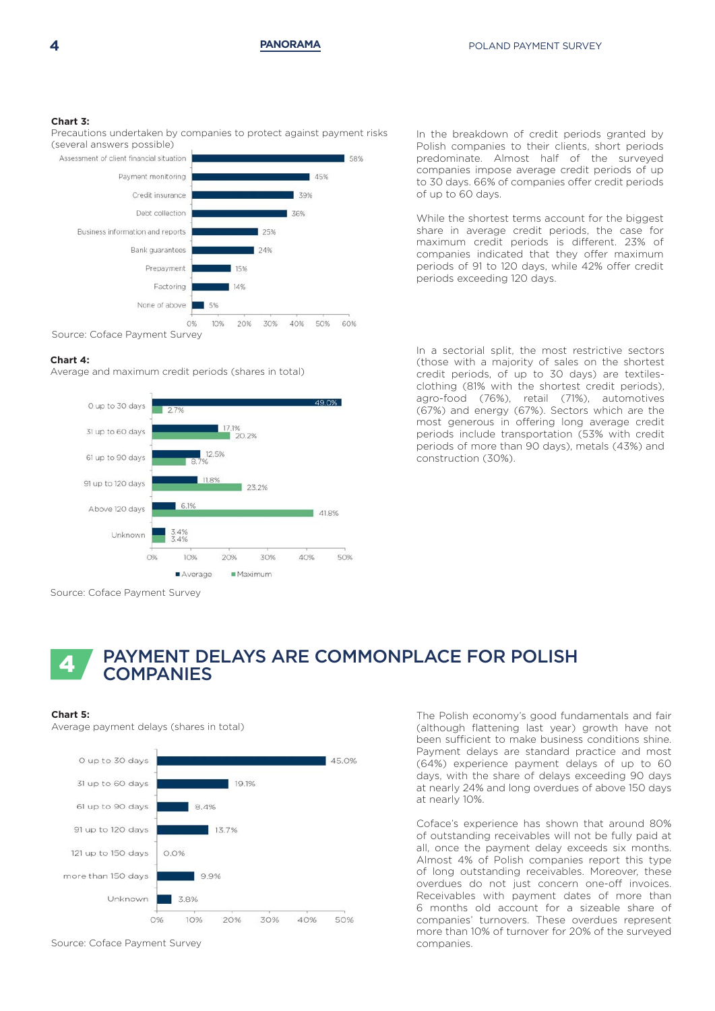#### **Chart 3:**

Precautions undertaken by companies to protect against payment risks (several answers possible)

Assessment of client financial situation



#### **Chart 4:**

Average and maximum credit periods (shares in total)



Source: Coface Payment Survey

In the breakdown of credit periods granted by Polish companies to their clients, short periods predominate. Almost half of the surveyed companies impose average credit periods of up to 30 days. 66% of companies offer credit periods of up to 60 days.

While the shortest terms account for the biggest share in average credit periods, the case for maximum credit periods is different. 23% of companies indicated that they offer maximum periods of 91 to 120 days, while 42% offer credit periods exceeding 120 days.

In a sectorial split, the most restrictive sectors (those with a majority of sales on the shortest credit periods, of up to 30 days) are textilesclothing (81% with the shortest credit periods), agro-food (76%), retail (71%), automotives (67%) and energy (67%). Sectors which are the most generous in offering long average credit periods include transportation (53% with credit periods of more than 90 days), metals (43%) and construction (30%).

## PAYMENT DELAYS ARE COMMONPLACE FOR POLISH **COMPANIES**

#### **Chart 5:**

Average payment delays (shares in total)



Source: Coface Payment Survey

The Polish economy's good fundamentals and fair (although flattening last year) growth have not been sufficient to make business conditions shine. Payment delays are standard practice and most (64%) experience payment delays of up to 60 days, with the share of delays exceeding 90 days at nearly 24% and long overdues of above 150 days at nearly 10%.

Coface's experience has shown that around 80% of outstanding receivables will not be fully paid at all, once the payment delay exceeds six months. Almost 4% of Polish companies report this type of long outstanding receivables. Moreover, these overdues do not just concern one-off invoices. Receivables with payment dates of more than 6 months old account for a sizeable share of companies' turnovers. These overdues represent more than 10% of turnover for 20% of the surveyed companies.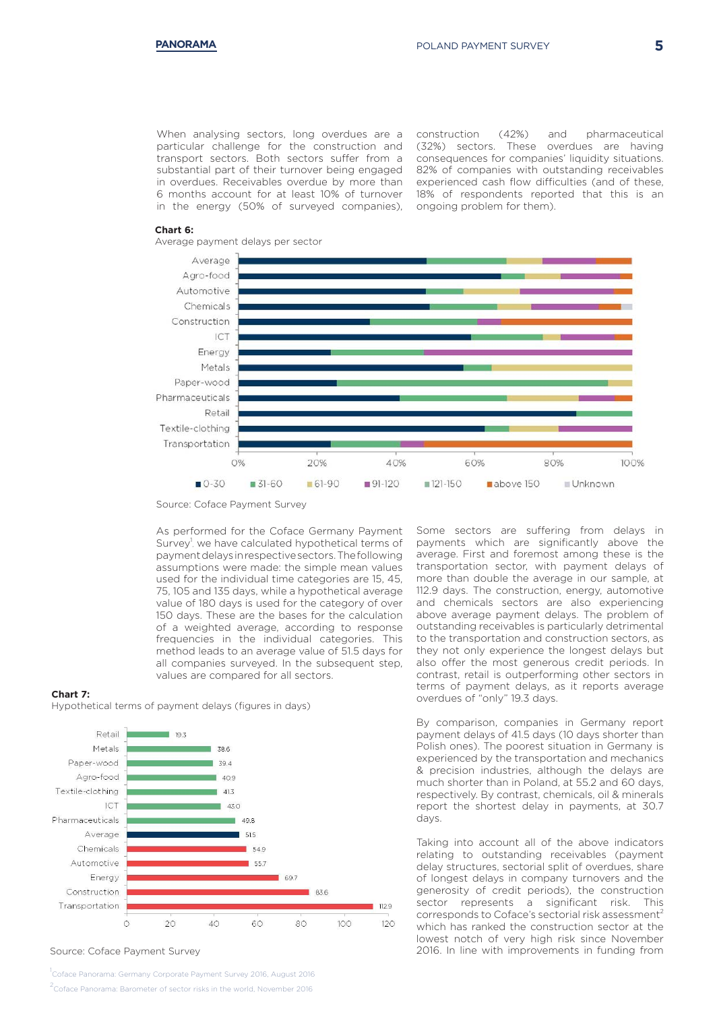When analysing sectors, long overdues are a particular challenge for the construction and transport sectors. Both sectors suffer from a substantial part of their turnover being engaged in overdues. Receivables overdue by more than 6 months account for at least 10% of turnover in the energy (50% of surveyed companies),

construction (42%) and pharmaceutical (32%) sectors. These overdues are having consequences for companies' liquidity situations. 82% of companies with outstanding receivables experienced cash flow difficulties (and of these, 18% of respondents reported that this is an ongoing problem for them).

#### **Chart 6:**

Average payment delays per sector



Source: Coface Payment Survey

As performed for the Coface Germany Payment Survey<sup>1</sup>, we have calculated hypothetical terms of payment delays in respective sectors. The following assumptions were made: the simple mean values used for the individual time categories are 15, 45, 75, 105 and 135 days, while a hypothetical average value of 180 days is used for the category of over 150 days. These are the bases for the calculation of a weighted average, according to response frequencies in the individual categories. This method leads to an average value of 51.5 days for all companies surveyed. In the subsequent step, values are compared for all sectors.

#### **Chart 7:**

Hypothetical terms of payment delays (figures in days)



Source: Coface Payment Survey

<sub>1</sub><br>Coface Panorama: Germany Corporate Payment Survey 2016, August 2016 2 Coface Panorama: Barometer of sector risks in the world, November 2016

Some sectors are suffering from delays in payments which are significantly above the average. First and foremost among these is the transportation sector, with payment delays of more than double the average in our sample, at 112.9 days. The construction, energy, automotive and chemicals sectors are also experiencing above average payment delays. The problem of outstanding receivables is particularly detrimental to the transportation and construction sectors, as they not only experience the longest delays but also offer the most generous credit periods. In contrast, retail is outperforming other sectors in terms of payment delays, as it reports average overdues of "only" 19.3 days.

By comparison, companies in Germany report payment delays of 41.5 days (10 days shorter than Polish ones). The poorest situation in Germany is experienced by the transportation and mechanics & precision industries, although the delays are much shorter than in Poland, at 55.2 and 60 days, respectively. By contrast, chemicals, oil & minerals report the shortest delay in payments, at 30.7 days.

Taking into account all of the above indicators relating to outstanding receivables (payment delay structures, sectorial split of overdues, share of longest delays in company turnovers and the generosity of credit periods), the construction sector represents a significant risk. This corresponds to Coface's sectorial risk assessment<sup>2</sup> which has ranked the construction sector at the lowest notch of very high risk since November 2016. In line with improvements in funding from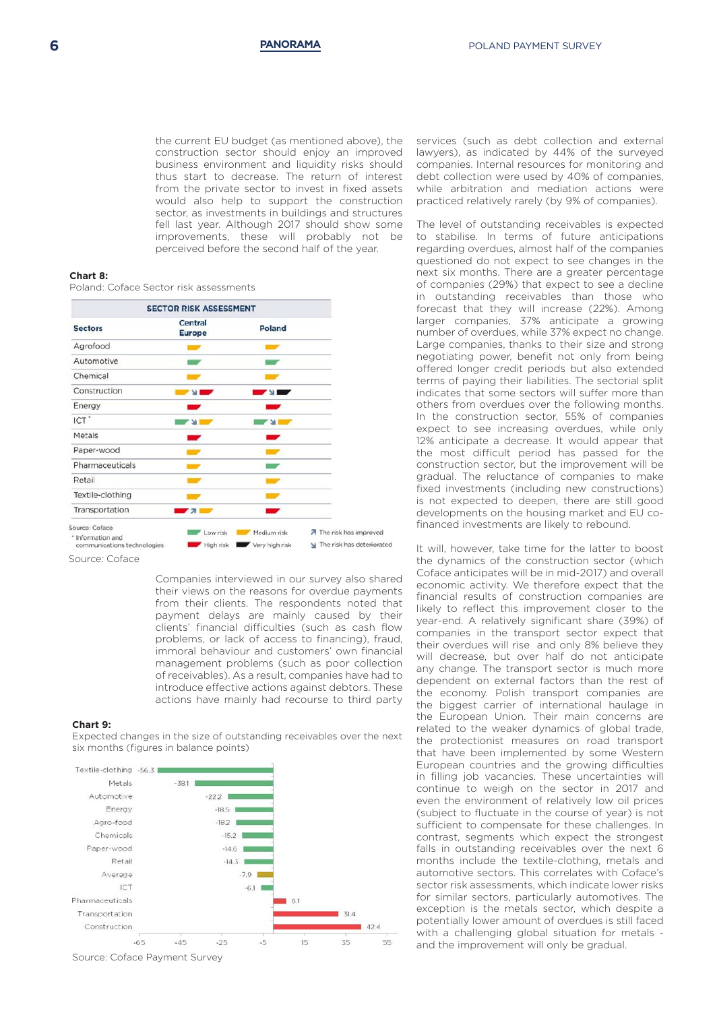the current EU budget (as mentioned above), the construction sector should enjoy an improved business environment and liquidity risks should thus start to decrease. The return of interest from the private sector to invest in fixed assets would also help to support the construction sector, as investments in buildings and structures fell last year. Although 2017 should show some improvements, these will probably not be perceived before the second half of the year.

#### **Chart 8:**

Poland: Coface Sector risk assessments



Source: Coface

Companies interviewed in our survey also shared their views on the reasons for overdue payments from their clients. The respondents noted that payment delays are mainly caused by their clients' financial difficulties (such as cash flow problems, or lack of access to financing), fraud, immoral behaviour and customers' own financial management problems (such as poor collection of receivables). As a result, companies have had to introduce effective actions against debtors. These actions have mainly had recourse to third party

#### **Chart 9:**

Expected changes in the size of outstanding receivables over the next six months (figures in balance points)



Source: Coface Payment Survey

services (such as debt collection and external lawyers), as indicated by 44% of the surveyed companies. Internal resources for monitoring and debt collection were used by 40% of companies, while arbitration and mediation actions were practiced relatively rarely (by 9% of companies).

The level of outstanding receivables is expected to stabilise. In terms of future anticipations regarding overdues, almost half of the companies questioned do not expect to see changes in the next six months. There are a greater percentage of companies (29%) that expect to see a decline in outstanding receivables than those who forecast that they will increase (22%). Among larger companies, 37% anticipate a growing number of overdues, while 37% expect no change. Large companies, thanks to their size and strong negotiating power, benefit not only from being offered longer credit periods but also extended terms of paying their liabilities. The sectorial split indicates that some sectors will suffer more than others from overdues over the following months. In the construction sector, 55% of companies expect to see increasing overdues, while only 12% anticipate a decrease. It would appear that the most difficult period has passed for the construction sector, but the improvement will be gradual. The reluctance of companies to make fixed investments (including new constructions) is not expected to deepen, there are still good developments on the housing market and EU cofinanced investments are likely to rebound.

It will, however, take time for the latter to boost the dynamics of the construction sector (which Coface anticipates will be in mid-2017) and overall economic activity. We therefore expect that the financial results of construction companies are likely to reflect this improvement closer to the year-end. A relatively significant share (39%) of companies in the transport sector expect that their overdues will rise and only 8% believe they will decrease, but over half do not anticipate any change. The transport sector is much more dependent on external factors than the rest of the economy. Polish transport companies are the biggest carrier of international haulage in the European Union. Their main concerns are related to the weaker dynamics of global trade, the protectionist measures on road transport that have been implemented by some Western European countries and the growing difficulties in filling job vacancies. These uncertainties will continue to weigh on the sector in 2017 and even the environment of relatively low oil prices (subject to fluctuate in the course of year) is not sufficient to compensate for these challenges. In contrast, segments which expect the strongest falls in outstanding receivables over the next 6 months include the textile-clothing, metals and automotive sectors. This correlates with Coface's sector risk assessments, which indicate lower risks for similar sectors, particularly automotives. The exception is the metals sector, which despite a potentially lower amount of overdues is still faced with a challenging global situation for metals and the improvement will only be gradual.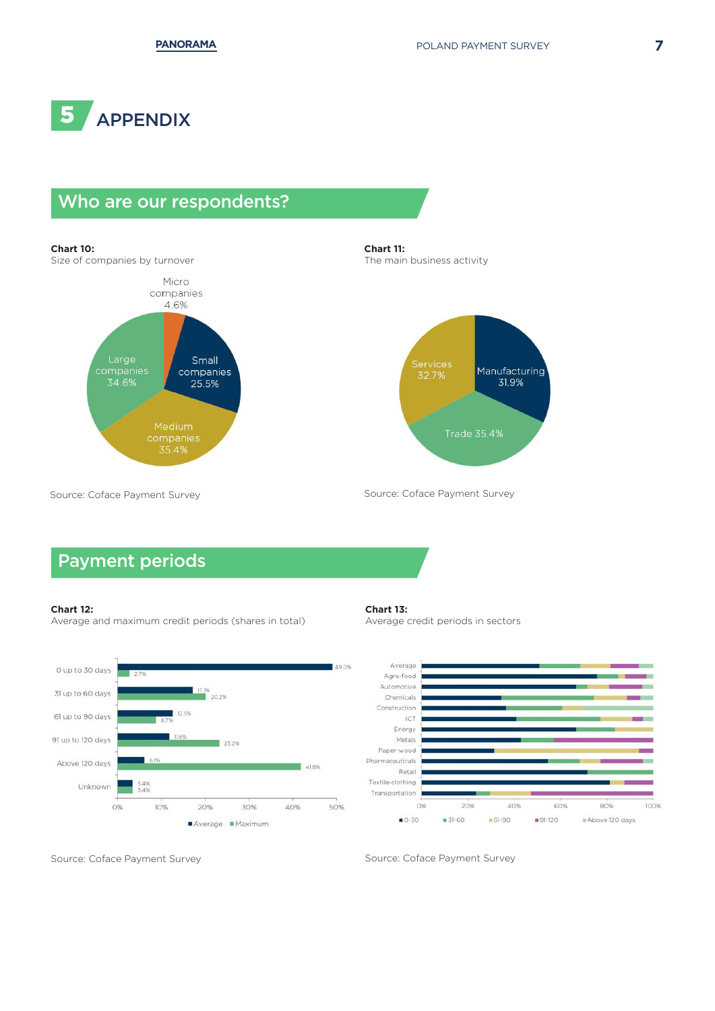

## Who are our respondents?

#### **Chart 10:**

Size of companies by turnover



**Chart 11:** The main business activity



Source: Coface Payment Survey

## Payment periods

#### **Chart 12:**

Average and maximum credit periods (shares in total)



#### **Chart 13:**

Average credit periods in sectors

Source: Coface Payment Survey



Source: Coface Payment Survey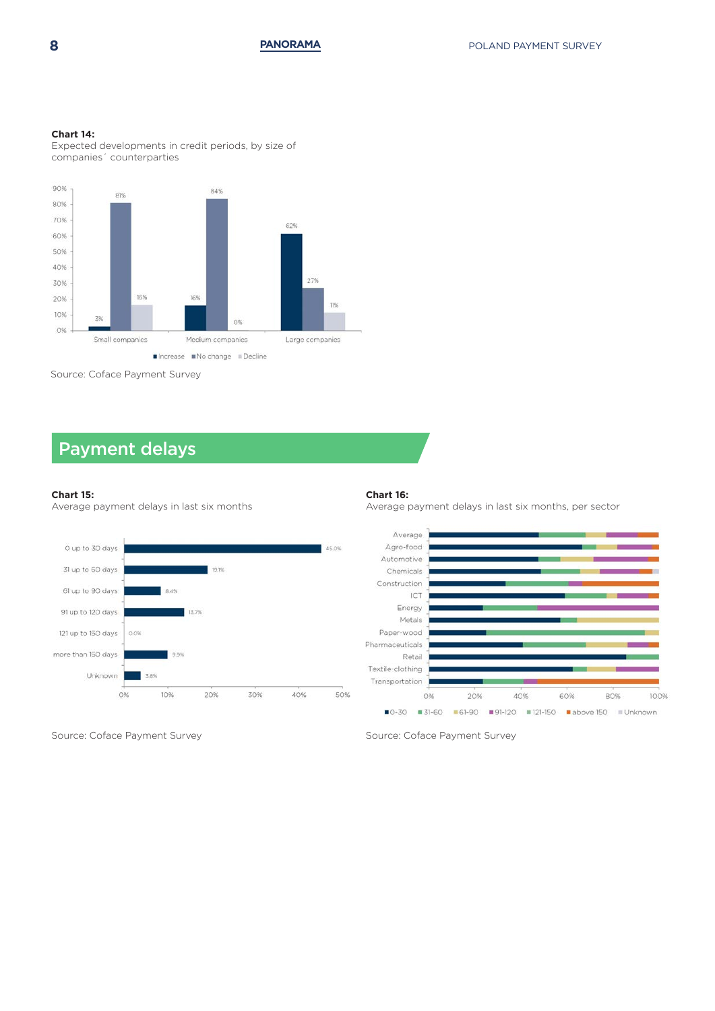#### **Chart 14:**

Expected developments in credit periods, by size of companies´ counterparties



Source: Coface Payment Survey

## Payment delays

#### **Chart 15:**

Average payment delays in last six months



Source: Coface Payment Survey

#### **Chart 16:**

Average payment delays in last six months, per sector



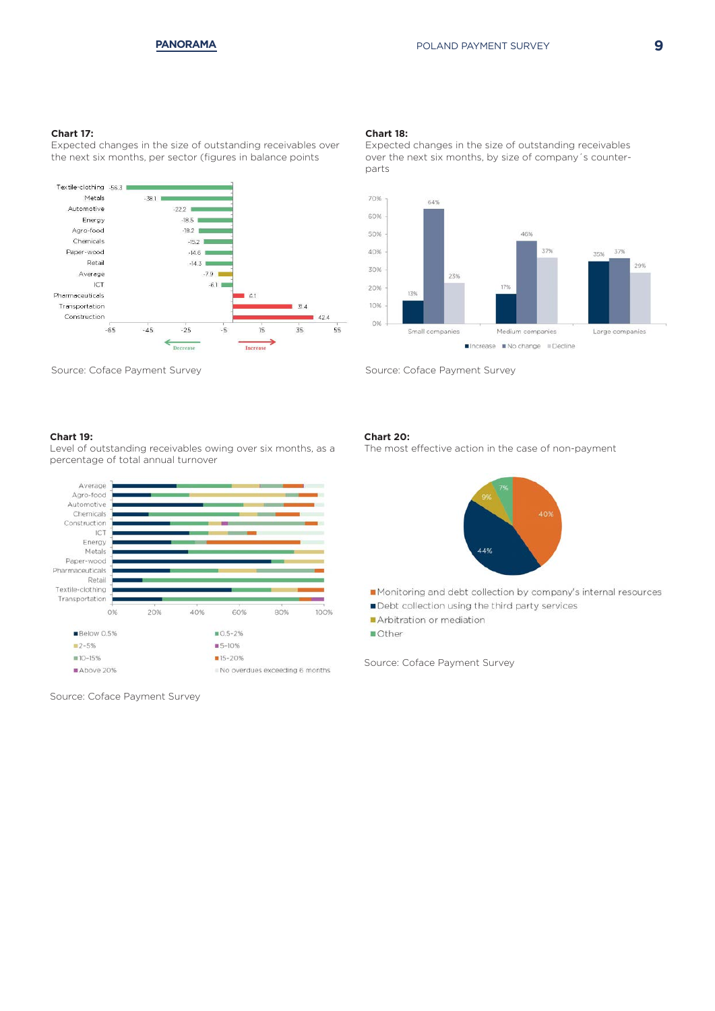#### **Chart 17:**

Expected changes in the size of outstanding receivables over the next six months, per sector (figures in balance points



Source: Coface Payment Survey

#### **Chart 19:**

Level of outstanding receivables owing over six months, as a percentage of total annual turnover



Source: Coface Payment Survey

#### **Chart 18:**

Expected changes in the size of outstanding receivables over the next six months, by size of company´s counterparts



Source: Coface Payment Survey

#### **Chart 20:**

The most effective action in the case of non-payment



- Monitoring and debt collection by company's internal resources
- Debt collection using the third party services
- Arbitration or mediation
- **Other**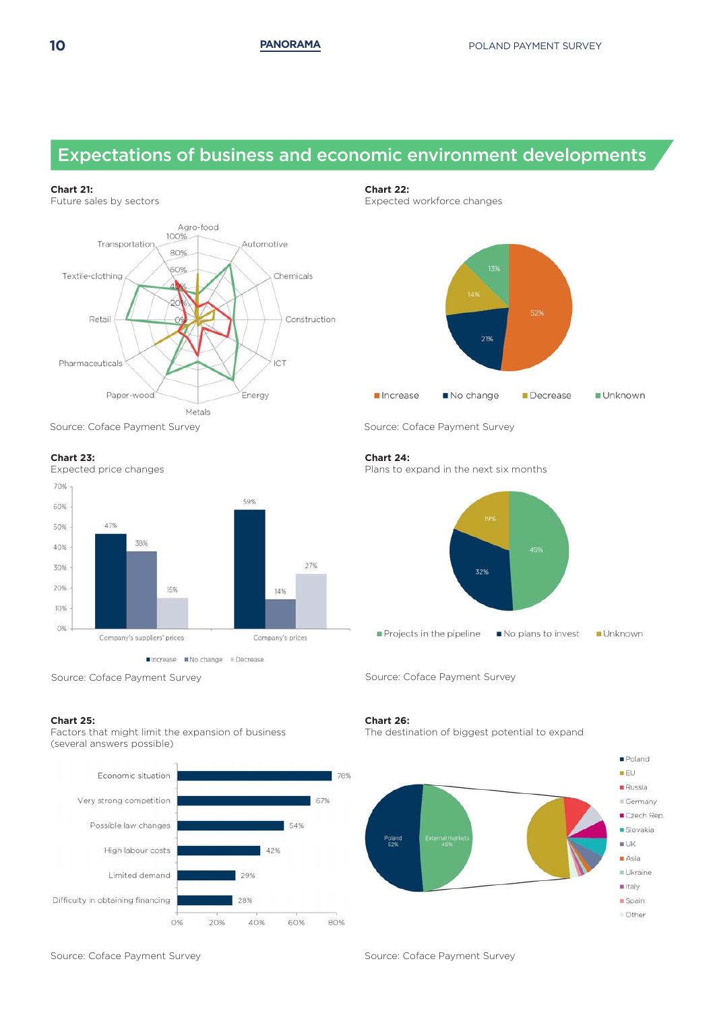## Expectations of business and economic environment developments

#### **Chart 21:**

Future sales by sectors



Source: Coface Payment Survey Source: Coface Payment Survey

#### **Chart 23:**

Expected price changes 70% 59% 60% 47% 50% 38% 40% 27% 30% 20% 15% 14% 10%  $0%$ Company's suppliers' prices Company's prices

■Increase ■No change ■Decrease

#### **Chart 25:**

Factors that might limit the expansion of business (several answers possible)



#### **Chart 22:**

Expected workforce changes



#### **Chart 24:**

Plans to expand in the next six months



Source: Coface Payment Survey Source: Coface Payment Survey

#### **Chart 26:**

The destination of biggest potential to expand



Source: Coface Payment Survey